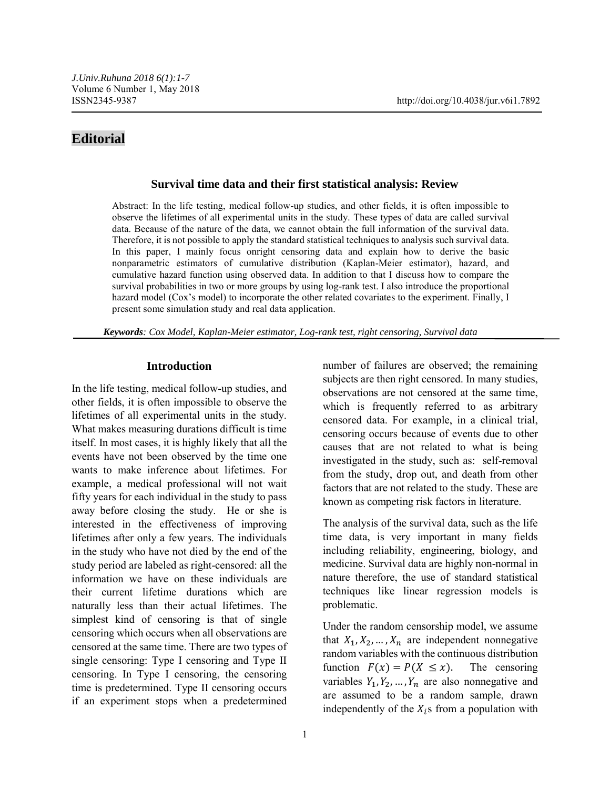# **Editorial**

# **Survival time data and their first statistical analysis: Review**

Abstract: In the life testing, medical follow-up studies, and other fields, it is often impossible to observe the lifetimes of all experimental units in the study. These types of data are called survival data. Because of the nature of the data, we cannot obtain the full information of the survival data. Therefore, it is not possible to apply the standard statistical techniques to analysis such survival data. In this paper, I mainly focus onright censoring data and explain how to derive the basic nonparametric estimators of cumulative distribution (Kaplan-Meier estimator), hazard, and cumulative hazard function using observed data. In addition to that I discuss how to compare the survival probabilities in two or more groups by using log-rank test. I also introduce the proportional hazard model (Cox's model) to incorporate the other related covariates to the experiment. Finally, I present some simulation study and real data application.

*Keywords: Cox Model, Kaplan-Meier estimator, Log-rank test, right censoring, Survival data*

#### **Introduction**

In the life testing, medical follow-up studies, and other fields, it is often impossible to observe the lifetimes of all experimental units in the study. What makes measuring durations difficult is time itself. In most cases, it is highly likely that all the events have not been observed by the time one wants to make inference about lifetimes. For example, a medical professional will not wait fifty years for each individual in the study to pass away before closing the study. He or she is interested in the effectiveness of improving lifetimes after only a few years. The individuals in the study who have not died by the end of the study period are labeled as right-censored: all the information we have on these individuals are their current lifetime durations which are naturally less than their actual lifetimes. The simplest kind of censoring is that of single censoring which occurs when all observations are censored at the same time. There are two types of single censoring: Type I censoring and Type II censoring. In Type I censoring, the censoring time is predetermined. Type II censoring occurs if an experiment stops when a predetermined number of failures are observed; the remaining subjects are then right censored. In many studies, observations are not censored at the same time, which is frequently referred to as arbitrary censored data. For example, in a clinical trial, censoring occurs because of events due to other causes that are not related to what is being investigated in the study, such as: self-removal from the study, drop out, and death from other factors that are not related to the study. These are known as competing risk factors in literature.

The analysis of the survival data, such as the life time data, is very important in many fields including reliability, engineering, biology, and medicine. Survival data are highly non-normal in nature therefore, the use of standard statistical techniques like linear regression models is problematic.

Under the random censorship model, we assume that  $X_1, X_2, ..., X_n$  are independent nonnegative random variables with the continuous distribution function  $F(x) = P(X \le x)$ . The censoring variables  $Y_1, Y_2, ..., Y_n$  are also nonnegative and are assumed to be a random sample, drawn independently of the  $X_i$ s from a population with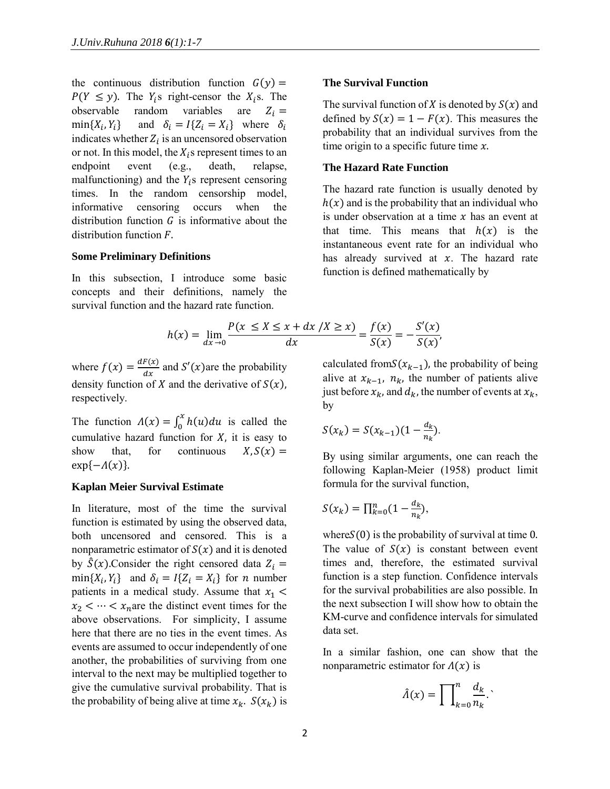the continuous distribution function  $G(y) =$  $P(Y \leq y)$ . The  $Y_i$ s right-censor the  $X_i$ s. The observable random variables are  $Z_i =$  $min{X_i, Y_i}$ } and  $\delta_i = I\{Z_i = X_i\}$  where  $\delta_i$ indicates whether  $Z_i$  is an uncensored observation or not. In this model, the  $X_i$ s represent times to an endpoint event (e.g., death, relapse, malfunctioning) and the  $Y_i$ s represent censoring times. In the random censorship model, informative censoring occurs when the distribution function  $G$  is informative about the distribution function  $F$ .

#### **Some Preliminary Definitions**

In this subsection, I introduce some basic concepts and their definitions, namely the survival function and the hazard rate function.

$$
h(x) = \lim_{dx \to 0} \frac{P(x \le X \le x + dx / X \ge x)}{dx} = \frac{f(x)}{S(x)} = -\frac{S'}{S(x)}
$$

where  $f(x) = \frac{dF(x)}{dx}$  $\frac{d}{dx}$  and  $S'(x)$  are the probability density function of X and the derivative of  $S(x)$ , respectively.

The function  $\Lambda(x) = \int_0^x h(u) du$  is called the cumulative hazard function for  $X$ , it is easy to show that, for continuous  $X.S(x) =$  $\exp\{-\Lambda(x)\}.$ 

#### **Kaplan Meier Survival Estimate**

In literature, most of the time the survival function is estimated by using the observed data, both uncensored and censored. This is a nonparametric estimator of  $S(x)$  and it is denoted by  $\hat{S}(x)$ . Consider the right censored data  $Z_i =$  $min{X_i, Y_i}$  and  $\delta_i = I{Z_i = X_i}$  for *n* number patients in a medical study. Assume that  $x_1$  <  $x_2 < \cdots < x_n$  are the distinct event times for the above observations. For simplicity, I assume here that there are no ties in the event times. As events are assumed to occur independently of one another, the probabilities of surviving from one interval to the next may be multiplied together to give the cumulative survival probability. That is the probability of being alive at time  $x_k$ .  $S(x_k)$  is

#### **The Survival Function**

The survival function of X is denoted by  $S(x)$  and defined by  $S(x) = 1 - F(x)$ . This measures the probability that an individual survives from the time origin to a specific future time  $x$ .

#### **The Hazard Rate Function**

The hazard rate function is usually denoted by  $h(x)$  and is the probability that an individual who is under observation at a time  $x$  has an event at that time. This means that  $h(x)$  is the instantaneous event rate for an individual who has already survived at  $x$ . The hazard rate function is defined mathematically by

$$
= \lim_{dx \to 0} \frac{P(x \le X \le x + dx / X \ge x)}{dx} = \frac{f(x)}{S(x)} = -\frac{S'(x)}{S(x)},
$$

calculated from  $S(x_{k-1})$ , the probability of being alive at  $x_{k-1}$ ,  $n_k$ , the number of patients alive just before  $x_k$ , and  $d_k$ , the number of events at  $x_k$ , by

$$
S(x_k) = S(x_{k-1})(1 - \frac{d_k}{n_k}).
$$

By using similar arguments, one can reach the following Kaplan-Meier (1958) product limit formula for the survival function,

$$
S(x_k) = \prod_{k=0}^n (1 - \frac{d_k}{n_k}),
$$

where  $S(0)$  is the probability of survival at time 0. The value of  $S(x)$  is constant between event times and, therefore, the estimated survival function is a step function. Confidence intervals for the survival probabilities are also possible. In the next subsection I will show how to obtain the KM-curve and confidence intervals for simulated data set.

In a similar fashion, one can show that the nonparametric estimator for  $\Lambda(x)$  is

$$
\hat{\Lambda}(x) = \prod_{k=0}^{n} \frac{d_k}{n_k}.
$$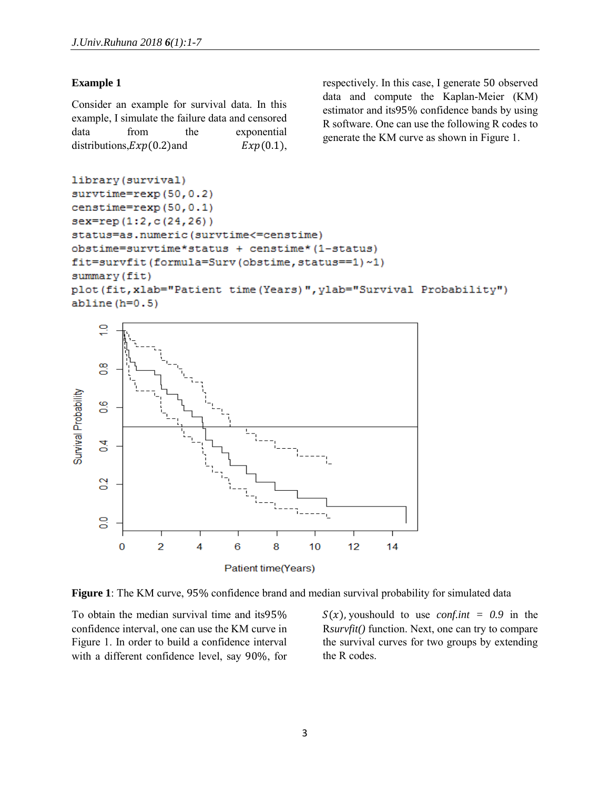# **Example 1**

Consider an example for survival data. In this example, I simulate the failure data and censored data from the exponential distributions, $Exp(0.2)$  and  $Exp(0.1)$ , respectively. In this case, I generate 50 observed data and compute the Kaplan-Meier (KM) estimator and its95% confidence bands by using R software. One can use the following R codes to generate the KM curve as shown in Figure 1.

```
library (survival)
survtime=revp(50, 0.2)censtime=rexp(50,0.1)
sex=rep(1:2,c(24,26))
status=as.numeric(survtime<=censtime)
obstime=survtime*status + censtime* (1-status)
fit=survfit(formula=Surv(obstime,status==1)~1)
summary (fit)
plot (fit, xlab="Patient time (Years)", ylab="Survival Probability")
abline(h=0.5)
```




To obtain the median survival time and its95% confidence interval, one can use the KM curve in Figure 1. In order to build a confidence interval with a different confidence level, say 90%, for  $S(x)$ , youshould to use *conf.int* = 0.9 in the R*survfit()* function. Next, one can try to compare the survival curves for two groups by extending the R codes.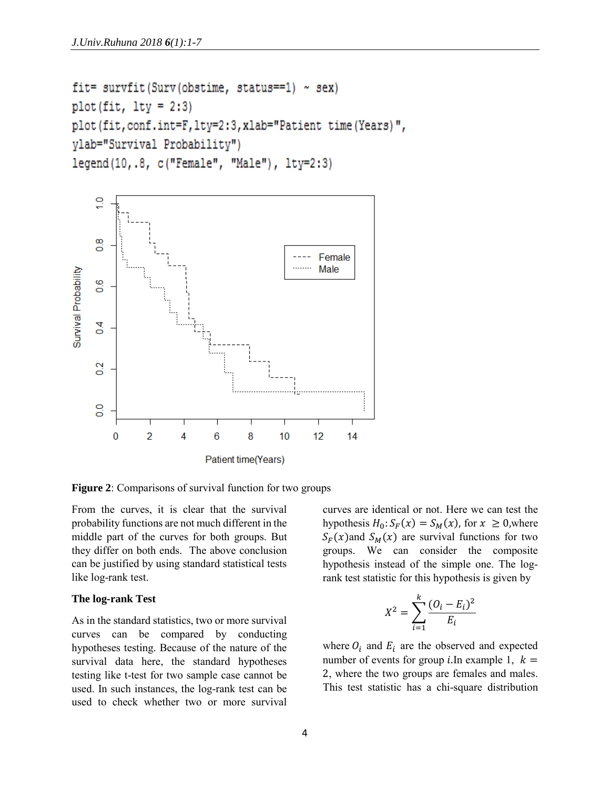```
fit= survfit (Surv (obstime, status==1) ~\sim sex)
plot(fit, 1ty = 2:3)plot (fit, conf.int=F, lty=2:3, xlab="Patient time (Years)",
vlab="Survival Probability")
legend(10, .8, c("Female", "Male"), lty=2:3)
```


**Figure 2**: Comparisons of survival function for two groups

From the curves, it is clear that the survival probability functions are not much different in the middle part of the curves for both groups. But they differ on both ends. The above conclusion can be justified by using standard statistical tests like log-rank test.

#### **The log-rank Test**

As in the standard statistics, two or more survival curves can be compared by conducting hypotheses testing. Because of the nature of the survival data here, the standard hypotheses testing like t-test for two sample case cannot be used. In such instances, the log-rank test can be used to check whether two or more survival curves are identical or not. Here we can test the hypothesis  $H_0: S_F(x) = S_M(x)$ , for  $x \ge 0$ , where  $S_F(x)$  and  $S_M(x)$  are survival functions for two groups. We can consider the composite hypothesis instead of the simple one. The logrank test statistic for this hypothesis is given by

$$
X^{2} = \sum_{i=1}^{k} \frac{(O_{i} - E_{i})^{2}}{E_{i}}
$$

where  $O_i$  and  $E_i$  are the observed and expected number of events for group *i*. In example 1,  $k =$ 2, where the two groups are females and males. This test statistic has a chi-square distribution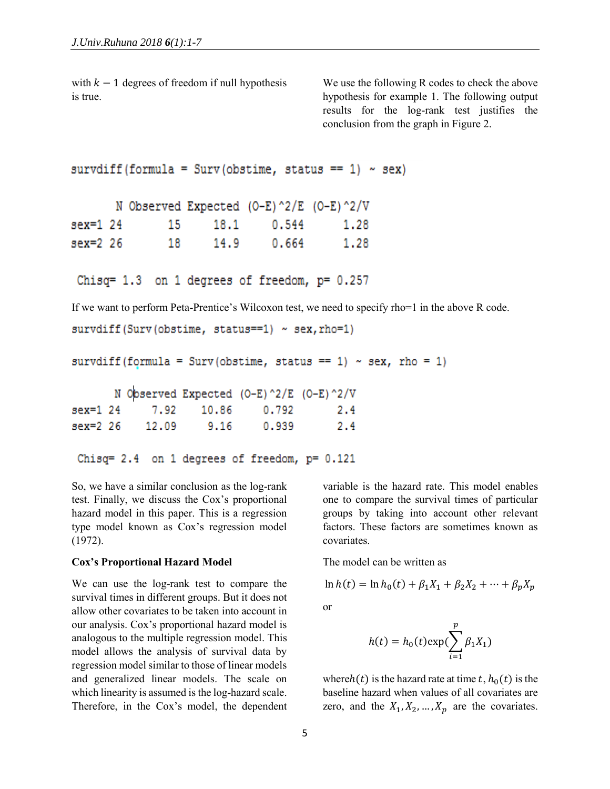with  $k - 1$  degrees of freedom if null hypothesis is true.

We use the following R codes to check the above hypothesis for example 1. The following output results for the log-rank test justifies the conclusion from the graph in Figure 2.

```
survdiff (formula = Surv (obstime, status == 1) \sim sex)
```

|          |     |      | N Observed Expected (0-E)^2/E (0-E)^2/V |      |
|----------|-----|------|-----------------------------------------|------|
| sex=1 24 | 15  | 18.1 | 0.544                                   | 1.28 |
| sex=2 26 | 18. | 14.9 | 0.664                                   | 1.28 |

Chisq= 1.3 on 1 degrees of freedom,  $p= 0.257$ 

If we want to perform Peta-Prentice's Wilcoxon test, we need to specify rho=1 in the above R code.

```
survdiff(Surv(obstime, status==1) ~ sex, rho=1)
```
survdiff (formula = Surv (obstime, status == 1) ~ sex, rho = 1)

|          |       |      | N Observed Expected (O-E)^2/E (O-E)^2/V |     |
|----------|-------|------|-----------------------------------------|-----|
|          |       |      | sex=1 24 7.92 10.86 0.792               | 2.4 |
| sex=2 26 | 12.09 | 9.16 | 0.939                                   | 2.4 |

```
Chisq= 2.4 on 1 degrees of freedom, p= 0.121
```
So, we have a similar conclusion as the log-rank test. Finally, we discuss the Cox's proportional hazard model in this paper. This is a regression type model known as Cox's regression model (1972).

#### **Cox's Proportional Hazard Model**

We can use the log-rank test to compare the survival times in different groups. But it does not allow other covariates to be taken into account in our analysis. Cox's proportional hazard model is analogous to the multiple regression model. This model allows the analysis of survival data by regression model similar to those of linear models and generalized linear models. The scale on which linearity is assumed is the log-hazard scale. Therefore, in the Cox's model, the dependent variable is the hazard rate. This model enables one to compare the survival times of particular groups by taking into account other relevant factors. These factors are sometimes known as covariates.

The model can be written as

$$
\ln h(t) = \ln h_0(t) + \beta_1 X_1 + \beta_2 X_2 + \dots + \beta_p X_p
$$

or

$$
h(t) = h_0(t) \exp(\sum_{i=1}^p \beta_i X_i)
$$

whereh(t) is the hazard rate at time  $t$ ,  $h_0(t)$  is the baseline hazard when values of all covariates are zero, and the  $X_1, X_2, ..., X_p$  are the covariates.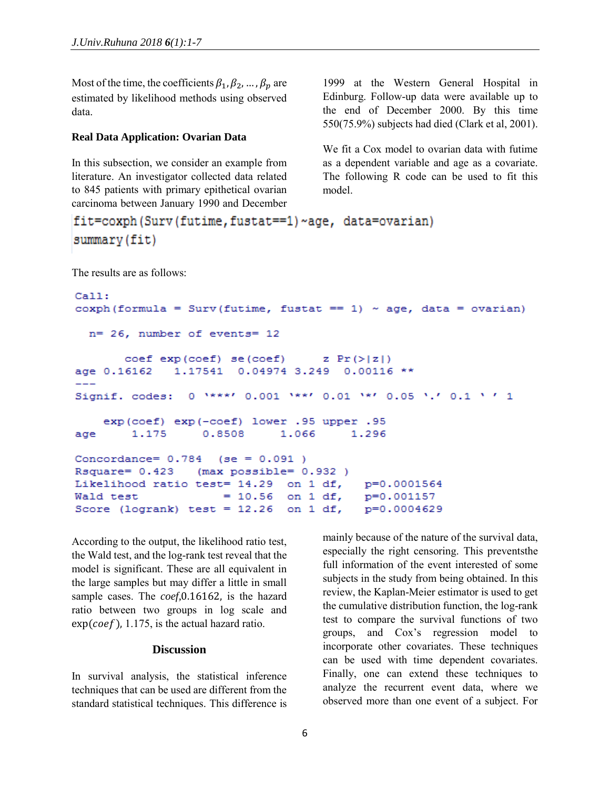Most of the time, the coefficients  $\beta_1, \beta_2, ..., \beta_p$  are estimated by likelihood methods using observed data.

# **Real Data Application: Ovarian Data**

In this subsection, we consider an example from literature. An investigator collected data related to 845 patients with primary epithetical ovarian carcinoma between January 1990 and December 1999 at the Western General Hospital in Edinburg. Follow-up data were available up to the end of December 2000. By this time 550(75.9%) subjects had died (Clark et al, 2001).

We fit a Cox model to ovarian data with futime as a dependent variable and age as a covariate. The following R code can be used to fit this model.

```
fit=coxph(Surv(futime,fustat==1)~age, data=ovarian)
summary (fit)
```
The results are as follows:

```
Call:coxph (formula = Surv (futime, fustat == 1) ~ age, data = ovarian)
 n= 26, number of events= 12
       coef exp(coef) se(coef)
                                    z \ Pr(\geq |z|)age 0.16162
              1.17541
                        0.04974 3.249
                                       0.00116 **
                0 ****' 0.001 ***' 0.01 **' 0.05 '.' 0.1 ' ' 1
Signif. codes:
    exp(coef) exp(-coef) lower .95 upper .95
                  0.8508
                              1.066
                                        1.296
age
        1.175
Concordance= 0.784
                     (se = 0.091)Rsquare= 0.423
                  (max possible = 0.932)Likelihood ratio test= 14.29
                               on 1 df,
                                          p=0.0001564
Wald test
                     = 10.56on 1 df,
                                          p=0.001157
                               on 1 df,
Score (logrank) test = 12.26p=0.0004629
```
According to the output, the likelihood ratio test, the Wald test, and the log-rank test reveal that the model is significant. These are all equivalent in the large samples but may differ a little in small sample cases. The *coef,*0.16162, is the hazard ratio between two groups in log scale and  $exp(coef)$ , 1.175, is the actual hazard ratio.

#### **Discussion**

In survival analysis, the statistical inference techniques that can be used are different from the standard statistical techniques. This difference is mainly because of the nature of the survival data, especially the right censoring. This preventsthe full information of the event interested of some subjects in the study from being obtained. In this review, the Kaplan-Meier estimator is used to get the cumulative distribution function, the log-rank test to compare the survival functions of two groups, and Cox's regression model to incorporate other covariates. These techniques can be used with time dependent covariates. Finally, one can extend these techniques to analyze the recurrent event data, where we observed more than one event of a subject. For